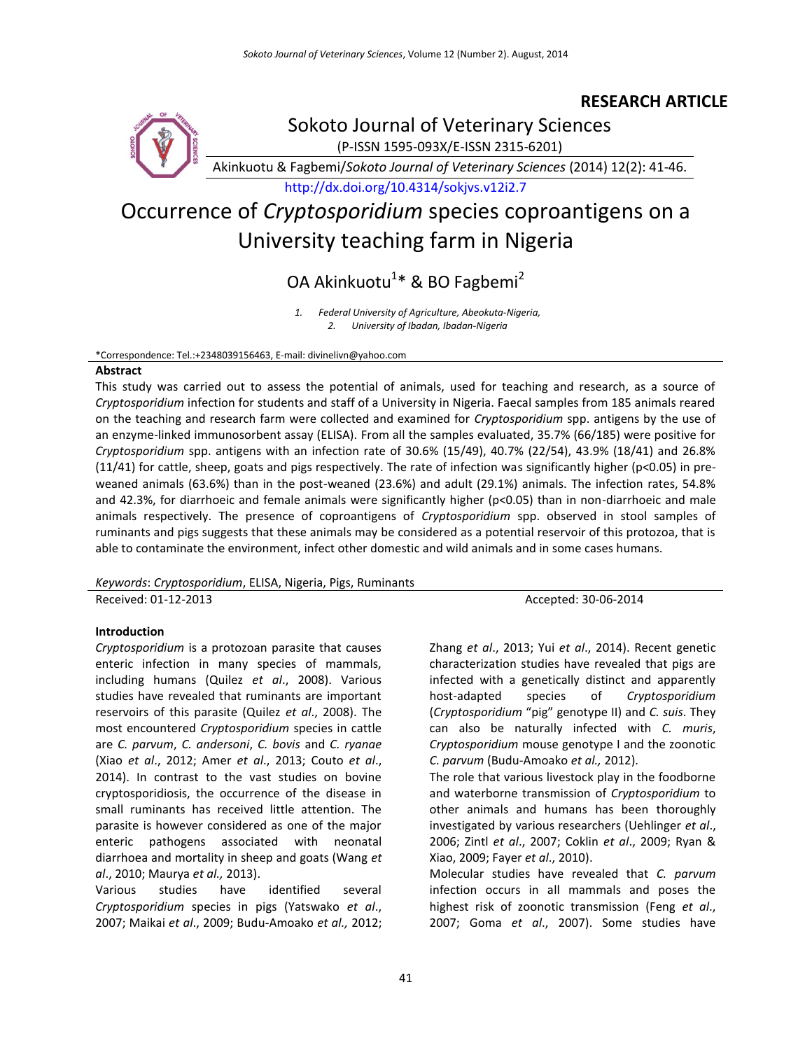# **RESEARCH ARTICLE**



Sokoto Journal of Veterinary Sciences

(P-ISSN 1595-093X/E-ISSN 2315-6201)

Akinkuotu & Fagbemi/*Sokoto Journal of Veterinary Sciences* (2014) 12(2): 41-46.

<http://dx.doi.org/10.4314/sokjvs.v12i2.7>

# Occurrence of *Cryptosporidium* species coproantigens on a University teaching farm in Nigeria

OA Akinkuotu<sup>1</sup>\* & BO Fagbemi<sup>2</sup>

*1. Federal University of Agriculture, Abeokuta-Nigeria, 2. University of Ibadan, Ibadan-Nigeria*

\*Correspondence: Tel.:+2348039156463, E-mail: divinelivn@yahoo.com

#### **Abstract**

This study was carried out to assess the potential of animals, used for teaching and research, as a source of *Cryptosporidium* infection for students and staff of a University in Nigeria. Faecal samples from 185 animals reared on the teaching and research farm were collected and examined for *Cryptosporidium* spp. antigens by the use of an enzyme-linked immunosorbent assay (ELISA). From all the samples evaluated, 35.7% (66/185) were positive for *Cryptosporidium* spp. antigens with an infection rate of 30.6% (15/49), 40.7% (22/54), 43.9% (18/41) and 26.8% (11/41) for cattle, sheep, goats and pigs respectively. The rate of infection was significantly higher (p<0.05) in preweaned animals (63.6%) than in the post-weaned (23.6%) and adult (29.1%) animals. The infection rates, 54.8% and 42.3%, for diarrhoeic and female animals were significantly higher (p<0.05) than in non-diarrhoeic and male animals respectively. The presence of coproantigens of *Cryptosporidium* spp. observed in stool samples of ruminants and pigs suggests that these animals may be considered as a potential reservoir of this protozoa, that is able to contaminate the environment, infect other domestic and wild animals and in some cases humans.

*Keywords*: *Cryptosporidium*, ELISA, Nigeria, Pigs, Ruminants

Received: 01-12-2013 Accepted: 30-06-2014

# **Introduction**

*Cryptosporidium* is a protozoan parasite that causes enteric infection in many species of mammals, including humans (Quilez *et al*., 2008). Various studies have revealed that ruminants are important reservoirs of this parasite (Quilez *et al*., 2008). The most encountered *Cryptosporidium* species in cattle are *C. parvum*, *C. andersoni*, *C. bovis* and *C. ryanae* (Xiao *et al*., 2012; Amer *et al*., 2013; Couto *et al*., 2014). In contrast to the vast studies on bovine cryptosporidiosis, the occurrence of the disease in small ruminants has received little attention. The parasite is however considered as one of the major enteric pathogens associated with neonatal diarrhoea and mortality in sheep and goats (Wang *et al*., 2010; Maurya *et al.,* 2013).

Various studies have identified several *Cryptosporidium* species in pigs (Yatswako *et al*., 2007; Maikai *et al*., 2009; Budu-Amoako *et al.,* 2012;

Zhang *et al*., 2013; Yui *et al*., 2014). Recent genetic characterization studies have revealed that pigs are infected with a genetically distinct and apparently host-adapted species of *Cryptosporidium* (*Cryptosporidium* "pig" genotype II) and *C. suis*. They can also be naturally infected with *C. muris*, *Cryptosporidium* mouse genotype I and the zoonotic *C. parvum* (Budu-Amoako *et al.,* 2012).

The role that various livestock play in the foodborne and waterborne transmission of *Cryptosporidium* to other animals and humans has been thoroughly investigated by various researchers (Uehlinger *et al*., 2006; Zintl *et al*., 2007; Coklin *et al*., 2009; Ryan & Xiao, 2009; Fayer *et al*., 2010).

Molecular studies have revealed that *C. parvum* infection occurs in all mammals and poses the highest risk of zoonotic transmission (Feng *et al*., 2007; Goma *et al*., 2007). Some studies have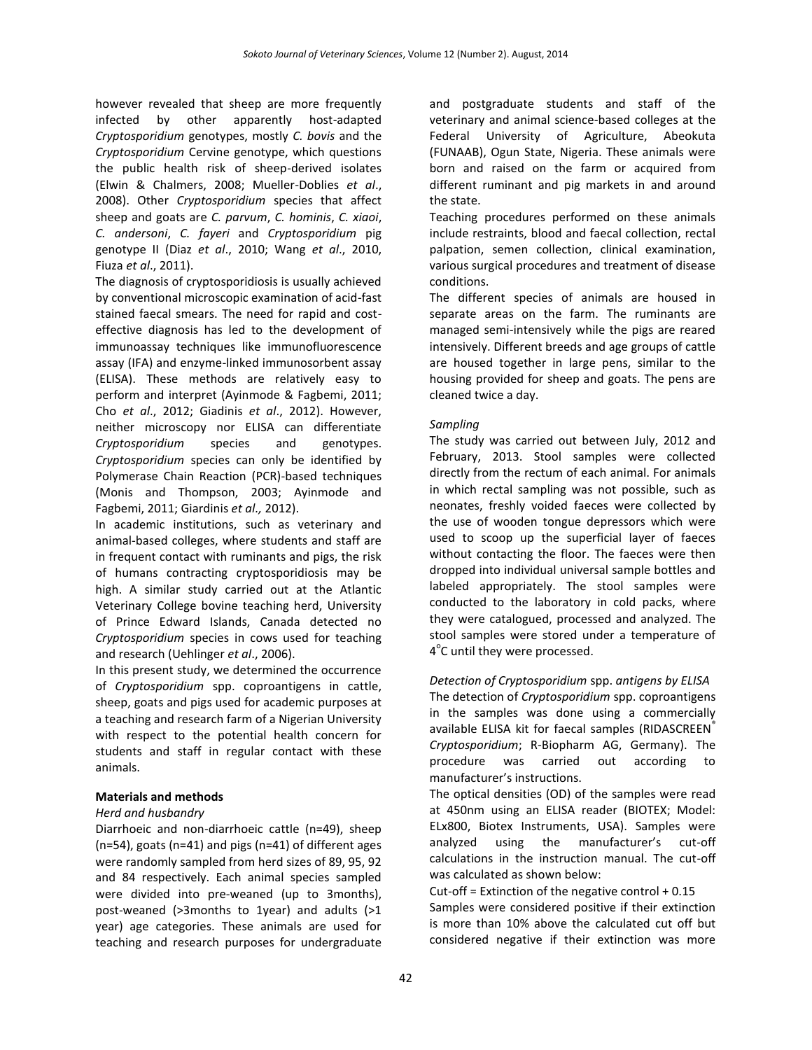however revealed that sheep are more frequently infected by other apparently host-adapted *Cryptosporidium* genotypes, mostly *C. bovis* and the *Cryptosporidium* Cervine genotype, which questions the public health risk of sheep-derived isolates (Elwin & Chalmers, 2008; Mueller-Doblies *et al*., 2008). Other *Cryptosporidium* species that affect sheep and goats are *C. parvum*, *C. hominis*, *C. xiaoi*, *C. andersoni*, *C. fayeri* and *Cryptosporidium* pig genotype II (Diaz *et al*., 2010; Wang *et al*., 2010, Fiuza *et al*., 2011).

The diagnosis of cryptosporidiosis is usually achieved by conventional microscopic examination of acid-fast stained faecal smears. The need for rapid and costeffective diagnosis has led to the development of immunoassay techniques like immunofluorescence assay (IFA) and enzyme-linked immunosorbent assay (ELISA). These methods are relatively easy to perform and interpret (Ayinmode & Fagbemi, 2011; Cho *et al*., 2012; Giadinis *et al*., 2012). However, neither microscopy nor ELISA can differentiate *Cryptosporidium* species and genotypes. *Cryptosporidium* species can only be identified by Polymerase Chain Reaction (PCR)-based techniques (Monis and Thompson, 2003; Ayinmode and Fagbemi, 2011; Giardinis *et al.,* 2012).

In academic institutions, such as veterinary and animal-based colleges, where students and staff are in frequent contact with ruminants and pigs, the risk of humans contracting cryptosporidiosis may be high. A similar study carried out at the Atlantic Veterinary College bovine teaching herd, University of Prince Edward Islands, Canada detected no *Cryptosporidium* species in cows used for teaching and research (Uehlinger *et al*., 2006).

In this present study, we determined the occurrence of *Cryptosporidium* spp. coproantigens in cattle, sheep, goats and pigs used for academic purposes at a teaching and research farm of a Nigerian University with respect to the potential health concern for students and staff in regular contact with these animals.

# **Materials and methods**

# *Herd and husbandry*

Diarrhoeic and non-diarrhoeic cattle (n=49), sheep (n=54), goats (n=41) and pigs (n=41) of different ages were randomly sampled from herd sizes of 89, 95, 92 and 84 respectively. Each animal species sampled were divided into pre-weaned (up to 3months), post-weaned (>3months to 1year) and adults (>1 year) age categories. These animals are used for teaching and research purposes for undergraduate and postgraduate students and staff of the veterinary and animal science-based colleges at the Federal University of Agriculture, Abeokuta (FUNAAB), Ogun State, Nigeria. These animals were born and raised on the farm or acquired from different ruminant and pig markets in and around the state.

Teaching procedures performed on these animals include restraints, blood and faecal collection, rectal palpation, semen collection, clinical examination, various surgical procedures and treatment of disease conditions.

The different species of animals are housed in separate areas on the farm. The ruminants are managed semi-intensively while the pigs are reared intensively. Different breeds and age groups of cattle are housed together in large pens, similar to the housing provided for sheep and goats. The pens are cleaned twice a day.

#### *Sampling*

The study was carried out between July, 2012 and February, 2013. Stool samples were collected directly from the rectum of each animal. For animals in which rectal sampling was not possible, such as neonates, freshly voided faeces were collected by the use of wooden tongue depressors which were used to scoop up the superficial layer of faeces without contacting the floor. The faeces were then dropped into individual universal sample bottles and labeled appropriately. The stool samples were conducted to the laboratory in cold packs, where they were catalogued, processed and analyzed. The stool samples were stored under a temperature of 4<sup>°</sup>C until they were processed.

# *Detection of Cryptosporidium* spp. *antigens by ELISA*

The detection of *Cryptosporidium* spp. coproantigens in the samples was done using a commercially available ELISA kit for faecal samples (RIDASCREEN® *Cryptosporidium*; R-Biopharm AG, Germany). The procedure was carried out according to manufacturer's instructions.

The optical densities (OD) of the samples were read at 450nm using an ELISA reader (BIOTEX; Model: ELx800, Biotex Instruments, USA). Samples were analyzed using the manufacturer's cut-off calculations in the instruction manual. The cut-off was calculated as shown below:

Cut-off = Extinction of the negative control +  $0.15$ Samples were considered positive if their extinction is more than 10% above the calculated cut off but considered negative if their extinction was more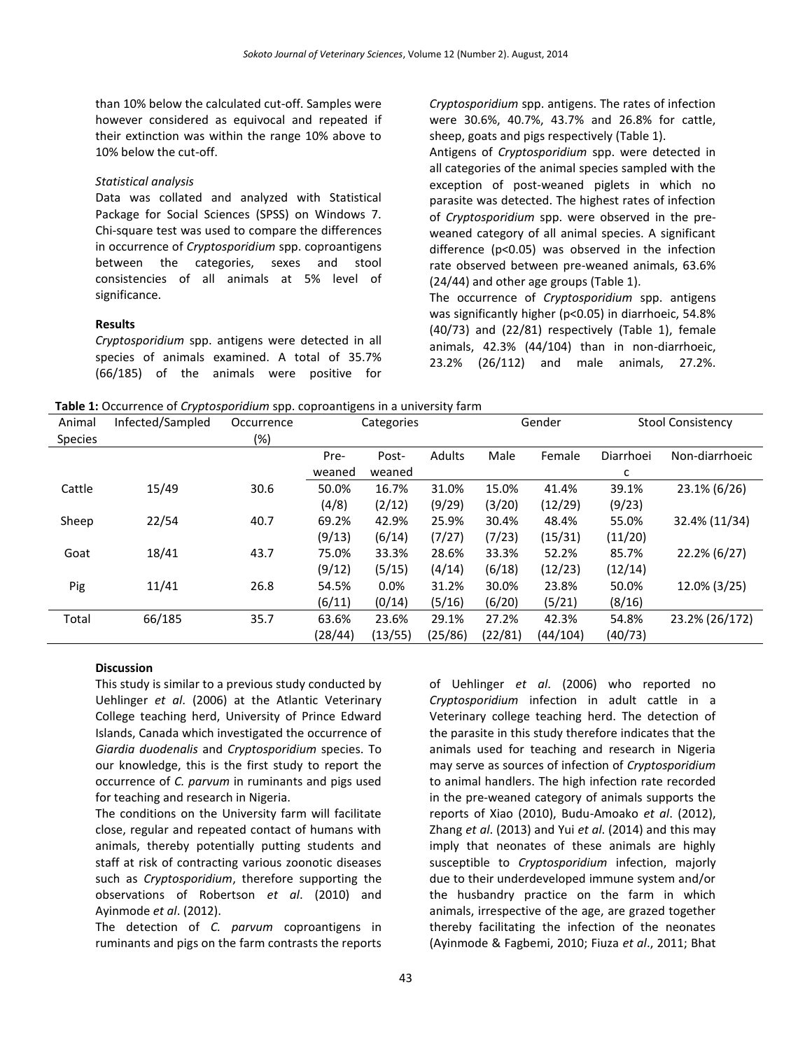than 10% below the calculated cut-off. Samples were however considered as equivocal and repeated if their extinction was within the range 10% above to 10% below the cut-off.

#### *Statistical analysis*

Data was collated and analyzed with Statistical Package for Social Sciences (SPSS) on Windows 7. Chi-square test was used to compare the differences in occurrence of *Cryptosporidium* spp. coproantigens between the categories, sexes and stool consistencies of all animals at 5% level of significance.

#### **Results**

*Cryptosporidium* spp. antigens were detected in all species of animals examined. A total of 35.7% (66/185) of the animals were positive for *Cryptosporidium* spp. antigens. The rates of infection were 30.6%, 40.7%, 43.7% and 26.8% for cattle, sheep, goats and pigs respectively (Table 1).

Antigens of *Cryptosporidium* spp. were detected in all categories of the animal species sampled with the exception of post-weaned piglets in which no parasite was detected. The highest rates of infection of *Cryptosporidium* spp. were observed in the preweaned category of all animal species. A significant difference (p<0.05) was observed in the infection rate observed between pre-weaned animals, 63.6% (24/44) and other age groups (Table 1).

The occurrence of *Cryptosporidium* spp. antigens was significantly higher (p<0.05) in diarrhoeic, 54.8% (40/73) and (22/81) respectively (Table 1), female animals, 42.3% (44/104) than in non-diarrhoeic, 23.2% (26/112) and male animals, 27.2%.

**Table 1:** Occurrence of *Cryptosporidium* spp. coproantigens in a university farm

| Animal<br><b>Species</b> | Infected/Sampled | Occurrence<br>(%) | Categories |         |         | Gender  |          | <b>Stool Consistency</b> |                |
|--------------------------|------------------|-------------------|------------|---------|---------|---------|----------|--------------------------|----------------|
|                          |                  |                   | Pre-       | Post-   | Adults  | Male    | Female   | Diarrhoei                | Non-diarrhoeic |
|                          |                  |                   | weaned     | weaned  |         |         |          | c                        |                |
| Cattle                   | 15/49            | 30.6              | 50.0%      | 16.7%   | 31.0%   | 15.0%   | 41.4%    | 39.1%                    | 23.1% (6/26)   |
|                          |                  |                   | (4/8)      | (2/12)  | (9/29)  | (3/20)  | (12/29)  | (9/23)                   |                |
| Sheep                    | 22/54            | 40.7              | 69.2%      | 42.9%   | 25.9%   | 30.4%   | 48.4%    | 55.0%                    | 32.4% (11/34)  |
|                          |                  |                   | (9/13)     | (6/14)  | (7/27)  | (7/23)  | (15/31)  | (11/20)                  |                |
| Goat                     | 18/41            | 43.7              | 75.0%      | 33.3%   | 28.6%   | 33.3%   | 52.2%    | 85.7%                    | 22.2% (6/27)   |
|                          |                  |                   | (9/12)     | (5/15)  | (4/14)  | (6/18)  | (12/23)  | (12/14)                  |                |
| Pig                      | 11/41            | 26.8              | 54.5%      | 0.0%    | 31.2%   | 30.0%   | 23.8%    | 50.0%                    | 12.0% (3/25)   |
|                          |                  |                   | (6/11)     | (0/14)  | (5/16)  | (6/20)  | (5/21)   | (8/16)                   |                |
| Total                    | 66/185           | 35.7              | 63.6%      | 23.6%   | 29.1%   | 27.2%   | 42.3%    | 54.8%                    | 23.2% (26/172) |
|                          |                  |                   | (28/44)    | (13/55) | (25/86) | (22/81) | (44/104) | (40/73)                  |                |

#### **Discussion**

This study is similar to a previous study conducted by Uehlinger *et al*. (2006) at the Atlantic Veterinary College teaching herd, University of Prince Edward Islands, Canada which investigated the occurrence of *Giardia duodenalis* and *Cryptosporidium* species. To our knowledge, this is the first study to report the occurrence of *C. parvum* in ruminants and pigs used for teaching and research in Nigeria.

The conditions on the University farm will facilitate close, regular and repeated contact of humans with animals, thereby potentially putting students and staff at risk of contracting various zoonotic diseases such as *Cryptosporidium*, therefore supporting the observations of Robertson *et al*. (2010) and Ayinmode *et al*. (2012).

The detection of *C. parvum* coproantigens in ruminants and pigs on the farm contrasts the reports of Uehlinger *et al*. (2006) who reported no *Cryptosporidium* infection in adult cattle in a Veterinary college teaching herd. The detection of the parasite in this study therefore indicates that the animals used for teaching and research in Nigeria may serve as sources of infection of *Cryptosporidium* to animal handlers. The high infection rate recorded in the pre-weaned category of animals supports the reports of Xiao (2010), Budu-Amoako *et al*. (2012), Zhang *et al*. (2013) and Yui *et al*. (2014) and this may imply that neonates of these animals are highly susceptible to *Cryptosporidium* infection, majorly due to their underdeveloped immune system and/or the husbandry practice on the farm in which animals, irrespective of the age, are grazed together thereby facilitating the infection of the neonates (Ayinmode & Fagbemi, 2010; Fiuza *et al*., 2011; Bhat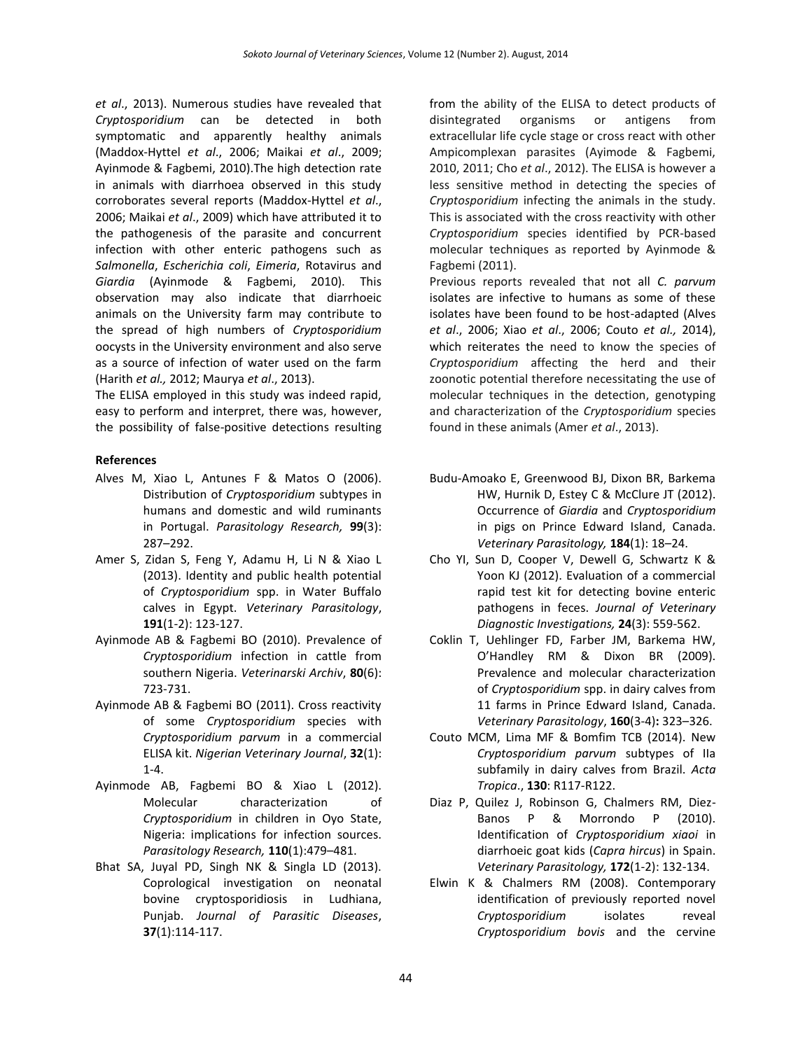*et al*., 2013). Numerous studies have revealed that *Cryptosporidium* can be detected in both symptomatic and apparently healthy animals (Maddox-Hyttel *et al*., 2006; Maikai *et al*., 2009; Ayinmode & Fagbemi, 2010).The high detection rate in animals with diarrhoea observed in this study corroborates several reports (Maddox-Hyttel *et al*., 2006; Maikai *et al*., 2009) which have attributed it to the pathogenesis of the parasite and concurrent infection with other enteric pathogens such as *Salmonella*, *Escherichia coli*, *Eimeria*, Rotavirus and *Giardia* (Ayinmode & Fagbemi, 2010). This observation may also indicate that diarrhoeic animals on the University farm may contribute to the spread of high numbers of *Cryptosporidium* oocysts in the University environment and also serve as a source of infection of water used on the farm (Harith *et al.,* 2012; Maurya *et al*., 2013).

The ELISA employed in this study was indeed rapid, easy to perform and interpret, there was, however, the possibility of false-positive detections resulting

# **References**

- Alves M, Xiao L, Antunes F & Matos O (2006). Distribution of *Cryptosporidium* subtypes in humans and domestic and wild ruminants in Portugal. *Parasitology Research,* **99**(3): 287–292.
- Amer S, Zidan S, Feng Y, Adamu H, Li N & Xiao L (2013). Identity and public health potential of *Cryptosporidium* spp. in Water Buffalo calves in Egypt. *Veterinary Parasitology*, **191**(1-2): 123-127.
- Ayinmode AB & Fagbemi BO (2010). Prevalence of *Cryptosporidium* infection in cattle from southern Nigeria. *Veterinarski Archiv*, **80**(6): 723-731.
- Ayinmode AB & Fagbemi BO (2011). Cross reactivity of some *Cryptosporidium* species with *Cryptosporidium parvum* in a commercial ELISA kit. *Nigerian Veterinary Journal*, **32**(1): 1-4.
- Ayinmode AB, Fagbemi BO & Xiao L (2012). Molecular characterization of *Cryptosporidium* in children in Oyo State, Nigeria: implications for infection sources. *Parasitology Research,* **110**(1):479–481.
- Bhat SA, Juyal PD, Singh NK & Singla LD (2013). Coprological investigation on neonatal bovine cryptosporidiosis in Ludhiana, Punjab. *Journal of Parasitic Diseases*, **37**(1):114-117.

from the ability of the ELISA to detect products of disintegrated organisms or antigens from extracellular life cycle stage or cross react with other Ampicomplexan parasites (Ayimode & Fagbemi, 2010, 2011; Cho *et al*., 2012). The ELISA is however a less sensitive method in detecting the species of *Cryptosporidium* infecting the animals in the study. This is associated with the cross reactivity with other *Cryptosporidium* species identified by PCR-based molecular techniques as reported by Ayinmode & Fagbemi (2011).

Previous reports revealed that not all *C. parvum* isolates are infective to humans as some of these isolates have been found to be host-adapted (Alves *et al*., 2006; Xiao *et al*., 2006; Couto *et al.,* 2014), which reiterates the need to know the species of *Cryptosporidium* affecting the herd and their zoonotic potential therefore necessitating the use of molecular techniques in the detection, genotyping and characterization of the *Cryptosporidium* species found in these animals (Amer *et al*., 2013).

- Budu-Amoako E, Greenwood BJ, Dixon BR, Barkema HW, Hurnik D, Estey C & McClure JT (2012). Occurrence of *Giardia* and *Cryptosporidium* in pigs on Prince Edward Island, Canada. *Veterinary Parasitology,* **184**(1): 18–24.
- Cho YI, Sun D, Cooper V, Dewell G, Schwartz K & Yoon KJ (2012). Evaluation of a commercial rapid test kit for detecting bovine enteric pathogens in feces. *Journal of Veterinary Diagnostic Investigations,* **24**(3): 559-562.
- Coklin T, Uehlinger FD, Farber JM, Barkema HW, O'Handley RM & Dixon BR (2009). Prevalence and molecular characterization of *Cryptosporidium* spp. in dairy calves from 11 farms in Prince Edward Island, Canada. *Veterinary Parasitology*, **160**(3-4)**:** 323–326.
- Couto MCM, Lima MF & Bomfim TCB (2014). New *Cryptosporidium parvum* subtypes of IIa subfamily in dairy calves from Brazil. *Acta Tropica*., **130**: R117-R122.
- Diaz P, Quilez J, Robinson G, Chalmers RM, Diez-Banos P & Morrondo P (2010). Identification of *Cryptosporidium xiaoi* in diarrhoeic goat kids (*Capra hircus*) in Spain. *Veterinary Parasitology,* **172**(1-2): 132-134.
- Elwin K & Chalmers RM (2008). Contemporary identification of previously reported novel *Cryptosporidium* isolates reveal *Cryptosporidium bovis* and the cervine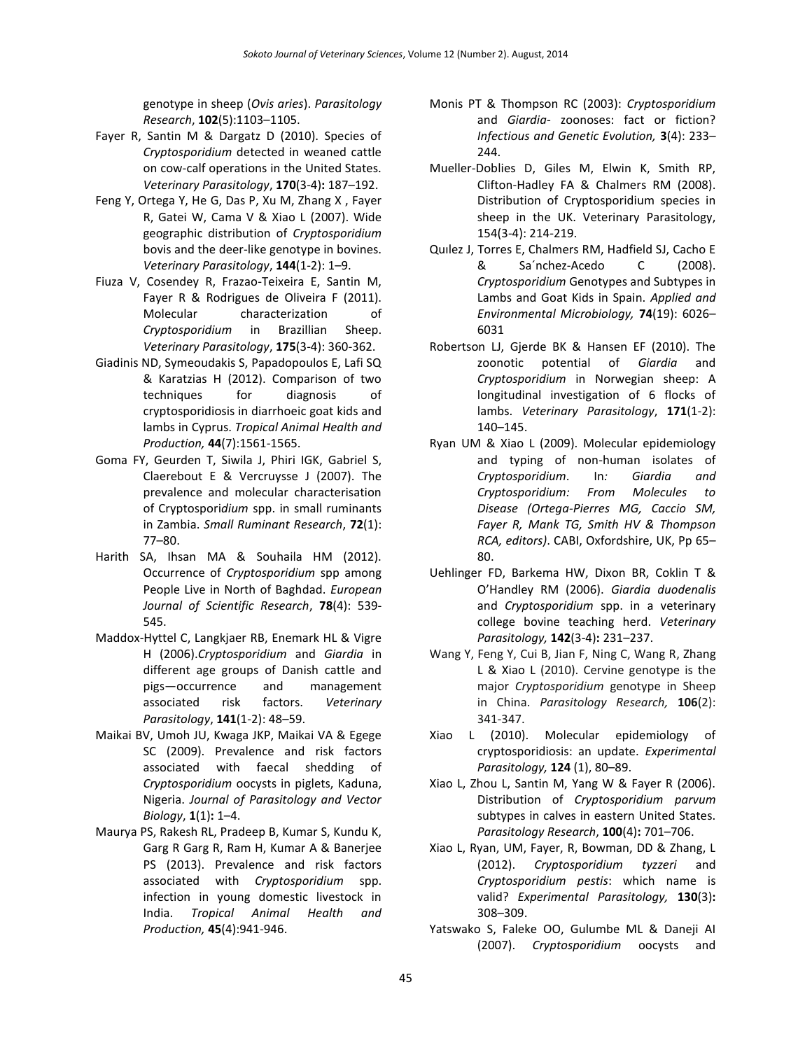genotype in sheep (*Ovis aries*). *Parasitology Research*, **102**(5):1103–1105.

- Fayer R, Santin M & Dargatz D (2010). Species of *Cryptosporidium* detected in weaned cattle on cow-calf operations in the United States. *Veterinary Parasitology*, **170**(3-4)**:** 187–192.
- Feng Y, Ortega Y, He G, Das P, Xu M, Zhang X , Fayer R, Gatei W, Cama V & Xiao L (2007). Wide geographic distribution of *Cryptosporidium* bovis and the deer-like genotype in bovines. *Veterinary Parasitology*, **144**(1-2): 1–9.
- Fiuza V, Cosendey R, Frazao-Teixeira E, Santin M, Fayer R & Rodrigues de Oliveira F (2011). Molecular characterization of *Cryptosporidium* in Brazillian Sheep. *Veterinary Parasitology*, **175**(3-4): 360-362.
- Giadinis ND, Symeoudakis S, Papadopoulos E, Lafi SQ & Karatzias H (2012). Comparison of two techniques for diagnosis of cryptosporidiosis in diarrhoeic goat kids and lambs in Cyprus. *Tropical Animal Health and Production,* **44**(7):1561-1565.
- Goma FY, Geurden T, Siwila J, Phiri IGK, Gabriel S, Claerebout E & Vercruysse J (2007). The prevalence and molecular characterisation of Cryptospori*dium* spp. in small ruminants in Zambia. *Small Ruminant Research*, **72**(1): 77–80.
- Harith SA, Ihsan MA & Souhaila HM (2012). Occurrence of *Cryptosporidium* spp among People Live in North of Baghdad. *European Journal of Scientific Research*, **78**(4): 539- 545.
- Maddox-Hyttel C, Langkjaer RB, Enemark HL & Vigre H (2006).*Cryptosporidium* and *Giardia* in different age groups of Danish cattle and pigs—occurrence and management associated risk factors. *Veterinary Parasitology*, **141**(1-2): 48–59.
- Maikai BV, Umoh JU, Kwaga JKP, Maikai VA & Egege SC (2009). Prevalence and risk factors associated with faecal shedding of *Cryptosporidium* oocysts in piglets, Kaduna, Nigeria. *Journal of Parasitology and Vector Biology*, **1**(1)**:** 1–4.
- Maurya PS, Rakesh RL, Pradeep B, Kumar S, Kundu K, Garg R Garg R, Ram H, Kumar A & Banerjee PS (2013). Prevalence and risk factors associated with *Cryptosporidium* spp. infection in young domestic livestock in India. *Tropical Animal Health and Production,* **45**(4):941-946.
- Monis PT & Thompson RC (2003): *Cryptosporidium*  and *Giardia*- zoonoses: fact or fiction? *Infectious and Genetic Evolution,* **3**(4): 233– 244.
- Mueller-Doblies D, Giles M, Elwin K, Smith RP, Clifton-Hadley FA & Chalmers RM (2008). Distribution of Cryptosporidium species in sheep in the UK. Veterinary Parasitology, 154(3-4): 214-219.
- Quılez J, Torres E, Chalmers RM, Hadfield SJ, Cacho E & Sa´nchez-Acedo C (2008). *Cryptosporidium* Genotypes and Subtypes in Lambs and Goat Kids in Spain. *Applied and Environmental Microbiology,* **74**(19): 6026– 6031
- Robertson LJ, Gjerde BK & Hansen EF (2010). The zoonotic potential of *Giardia* and *Cryptosporidium* in Norwegian sheep: A longitudinal investigation of 6 flocks of lambs. *Veterinary Parasitology*, **171**(1-2): 140–145.
- Ryan UM & Xiao L (2009). Molecular epidemiology and typing of non-human isolates of *Cryptosporidium*. In*: Giardia and Cryptosporidium: From Molecules to Disease (Ortega-Pierres MG, Caccio SM, Fayer R, Mank TG, Smith HV & Thompson RCA, editors)*. CABI, Oxfordshire, UK, Pp 65– 80.
- Uehlinger FD, Barkema HW, Dixon BR, Coklin T & O'Handley RM (2006). *Giardia duodenalis* and *Cryptosporidium* spp. in a veterinary college bovine teaching herd. *Veterinary Parasitology,* **142**(3-4)**:** 231–237.
- Wang Y, Feng Y, Cui B, Jian F, Ning C, Wang R, Zhang L & Xiao L (2010). Cervine genotype is the major *Cryptosporidium* genotype in Sheep in China. *Parasitology Research,* **106**(2): 341-347.
- Xiao L (2010). Molecular epidemiology of cryptosporidiosis: an update. *Experimental Parasitology,* **124** (1), 80–89.
- Xiao L, Zhou L, Santin M, Yang W & Fayer R (2006). Distribution of *Cryptosporidium parvum* subtypes in calves in eastern United States. *Parasitology Research*, **100**(4)**:** 701–706.
- Xiao L, Ryan, UM, Fayer, R, Bowman, DD & Zhang, L (2012). *Cryptosporidium tyzzeri* and *Cryptosporidium pestis*: which name is valid? *Experimental Parasitology,* **130**(3)**:** 308–309.
- Yatswako S, Faleke OO, Gulumbe ML & Daneji AI (2007). *Cryptosporidium* oocysts and